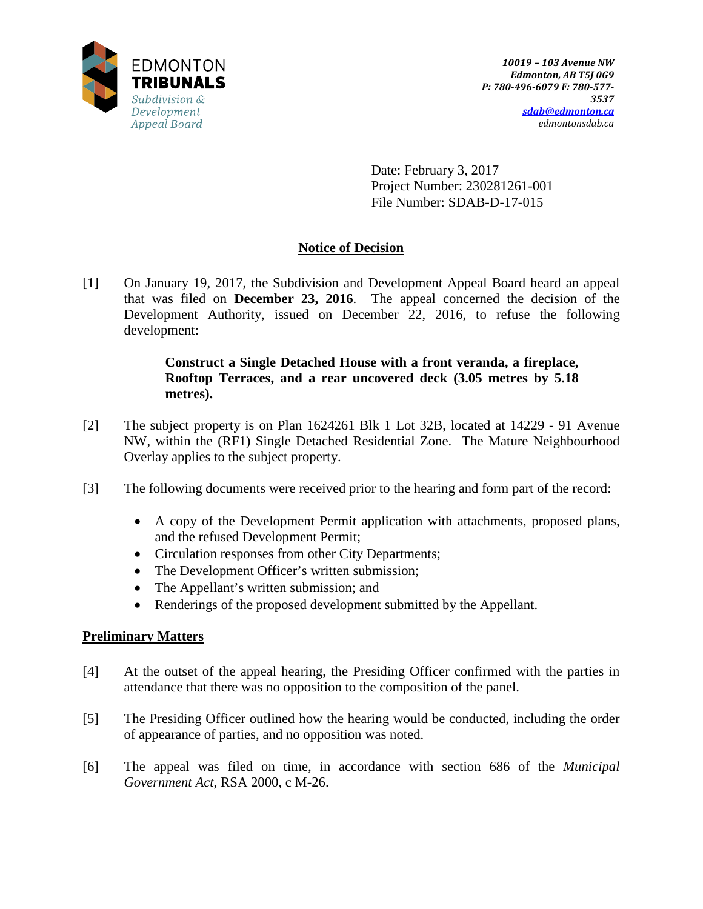

Date: February 3, 2017 Project Number: 230281261-001 File Number: SDAB-D-17-015

# **Notice of Decision**

[1] On January 19, 2017, the Subdivision and Development Appeal Board heard an appeal that was filed on **December 23, 2016**. The appeal concerned the decision of the Development Authority, issued on December 22, 2016, to refuse the following development:

# **Construct a Single Detached House with a front veranda, a fireplace, Rooftop Terraces, and a rear uncovered deck (3.05 metres by 5.18 metres).**

- [2] The subject property is on Plan 1624261 Blk 1 Lot 32B, located at 14229 91 Avenue NW, within the (RF1) Single Detached Residential Zone. The Mature Neighbourhood Overlay applies to the subject property.
- [3] The following documents were received prior to the hearing and form part of the record:
	- A copy of the Development Permit application with attachments, proposed plans, and the refused Development Permit;
	- Circulation responses from other City Departments;
	- The Development Officer's written submission;
	- The Appellant's written submission; and
	- Renderings of the proposed development submitted by the Appellant.

# **Preliminary Matters**

- [4] At the outset of the appeal hearing, the Presiding Officer confirmed with the parties in attendance that there was no opposition to the composition of the panel.
- [5] The Presiding Officer outlined how the hearing would be conducted, including the order of appearance of parties, and no opposition was noted.
- [6] The appeal was filed on time, in accordance with section 686 of the *Municipal Government Act*, RSA 2000, c M-26.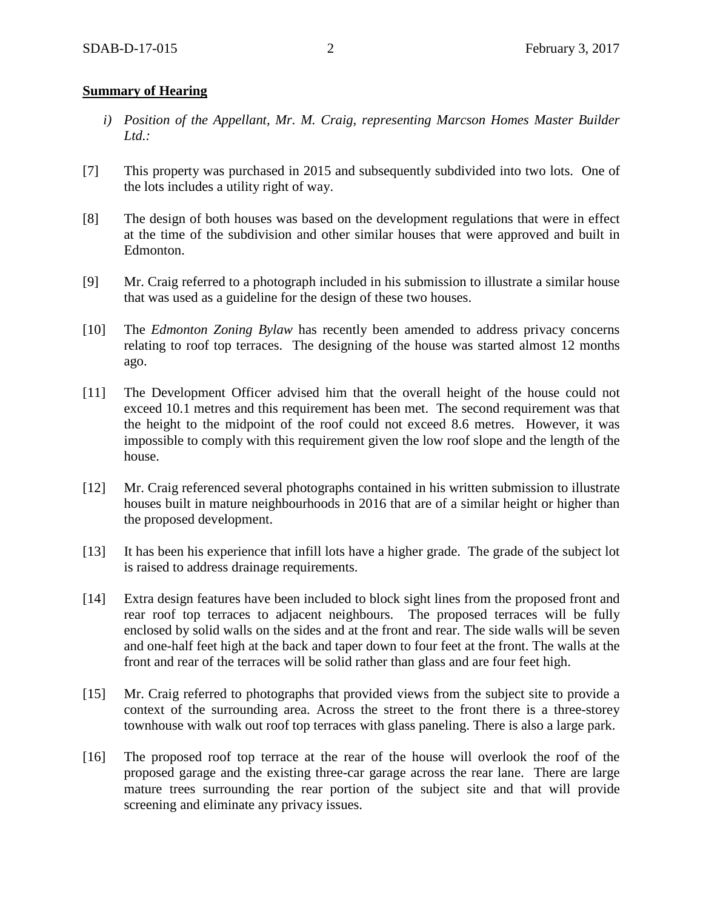### **Summary of Hearing**

- *i) Position of the Appellant, Mr. M. Craig, representing Marcson Homes Master Builder Ltd.:*
- [7] This property was purchased in 2015 and subsequently subdivided into two lots. One of the lots includes a utility right of way.
- [8] The design of both houses was based on the development regulations that were in effect at the time of the subdivision and other similar houses that were approved and built in Edmonton.
- [9] Mr. Craig referred to a photograph included in his submission to illustrate a similar house that was used as a guideline for the design of these two houses.
- [10] The *Edmonton Zoning Bylaw* has recently been amended to address privacy concerns relating to roof top terraces. The designing of the house was started almost 12 months ago.
- [11] The Development Officer advised him that the overall height of the house could not exceed 10.1 metres and this requirement has been met. The second requirement was that the height to the midpoint of the roof could not exceed 8.6 metres. However, it was impossible to comply with this requirement given the low roof slope and the length of the house.
- [12] Mr. Craig referenced several photographs contained in his written submission to illustrate houses built in mature neighbourhoods in 2016 that are of a similar height or higher than the proposed development.
- [13] It has been his experience that infill lots have a higher grade. The grade of the subject lot is raised to address drainage requirements.
- [14] Extra design features have been included to block sight lines from the proposed front and rear roof top terraces to adjacent neighbours. The proposed terraces will be fully enclosed by solid walls on the sides and at the front and rear. The side walls will be seven and one-half feet high at the back and taper down to four feet at the front. The walls at the front and rear of the terraces will be solid rather than glass and are four feet high.
- [15] Mr. Craig referred to photographs that provided views from the subject site to provide a context of the surrounding area. Across the street to the front there is a three-storey townhouse with walk out roof top terraces with glass paneling. There is also a large park.
- [16] The proposed roof top terrace at the rear of the house will overlook the roof of the proposed garage and the existing three-car garage across the rear lane. There are large mature trees surrounding the rear portion of the subject site and that will provide screening and eliminate any privacy issues.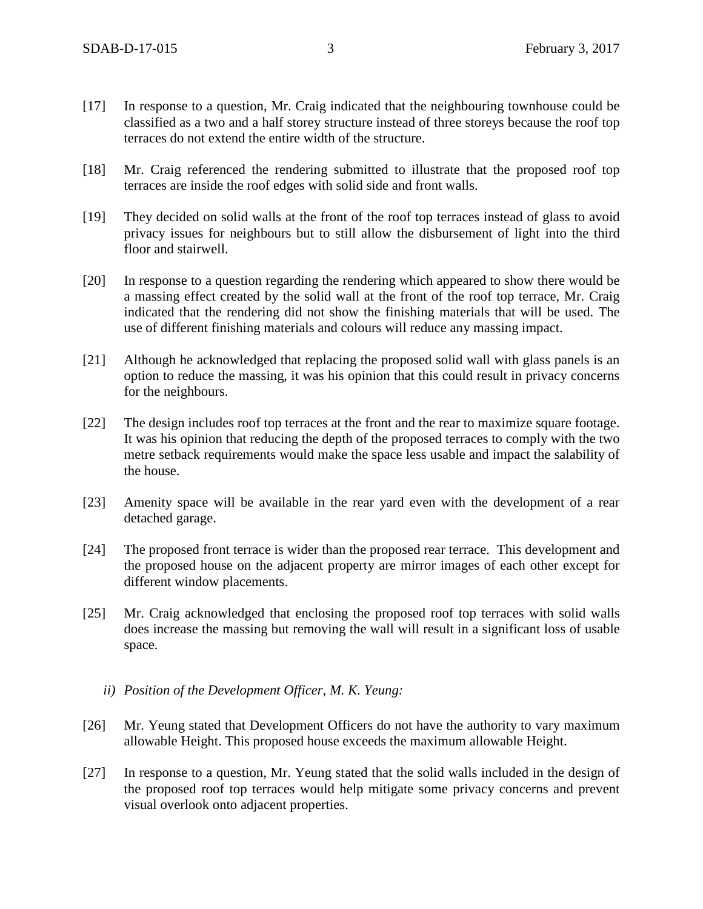- [17] In response to a question, Mr. Craig indicated that the neighbouring townhouse could be classified as a two and a half storey structure instead of three storeys because the roof top terraces do not extend the entire width of the structure.
- [18] Mr. Craig referenced the rendering submitted to illustrate that the proposed roof top terraces are inside the roof edges with solid side and front walls.
- [19] They decided on solid walls at the front of the roof top terraces instead of glass to avoid privacy issues for neighbours but to still allow the disbursement of light into the third floor and stairwell.
- [20] In response to a question regarding the rendering which appeared to show there would be a massing effect created by the solid wall at the front of the roof top terrace, Mr. Craig indicated that the rendering did not show the finishing materials that will be used. The use of different finishing materials and colours will reduce any massing impact.
- [21] Although he acknowledged that replacing the proposed solid wall with glass panels is an option to reduce the massing, it was his opinion that this could result in privacy concerns for the neighbours.
- [22] The design includes roof top terraces at the front and the rear to maximize square footage. It was his opinion that reducing the depth of the proposed terraces to comply with the two metre setback requirements would make the space less usable and impact the salability of the house.
- [23] Amenity space will be available in the rear yard even with the development of a rear detached garage.
- [24] The proposed front terrace is wider than the proposed rear terrace. This development and the proposed house on the adjacent property are mirror images of each other except for different window placements.
- [25] Mr. Craig acknowledged that enclosing the proposed roof top terraces with solid walls does increase the massing but removing the wall will result in a significant loss of usable space.
	- *ii) Position of the Development Officer, M. K. Yeung:*
- [26] Mr. Yeung stated that Development Officers do not have the authority to vary maximum allowable Height. This proposed house exceeds the maximum allowable Height.
- [27] In response to a question, Mr. Yeung stated that the solid walls included in the design of the proposed roof top terraces would help mitigate some privacy concerns and prevent visual overlook onto adjacent properties.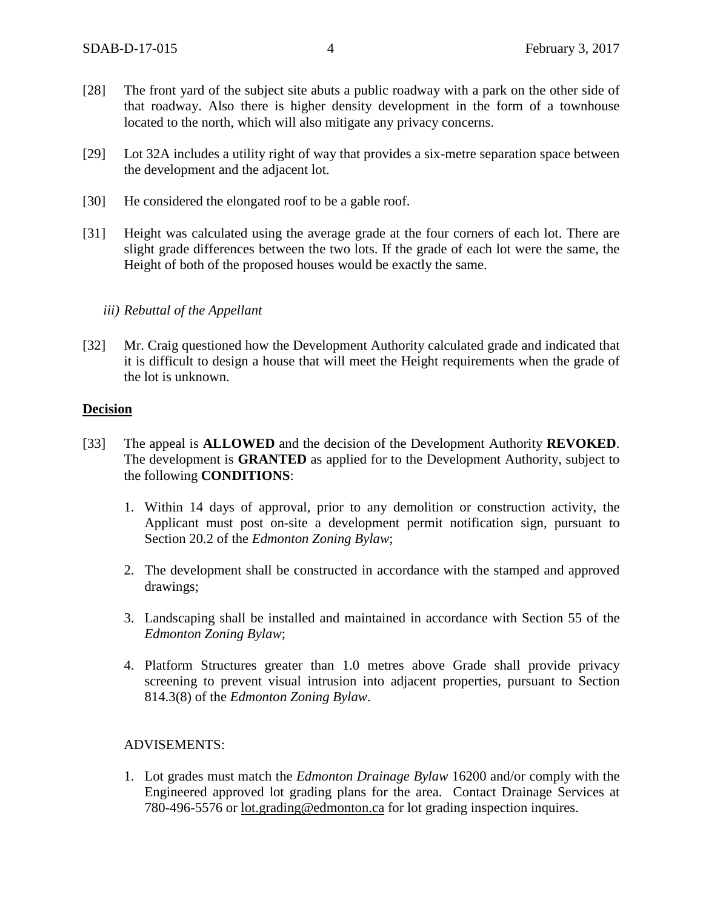- [28] The front yard of the subject site abuts a public roadway with a park on the other side of that roadway. Also there is higher density development in the form of a townhouse located to the north, which will also mitigate any privacy concerns.
- [29] Lot 32A includes a utility right of way that provides a six-metre separation space between the development and the adjacent lot.
- [30] He considered the elongated roof to be a gable roof.
- [31] Height was calculated using the average grade at the four corners of each lot. There are slight grade differences between the two lots. If the grade of each lot were the same, the Height of both of the proposed houses would be exactly the same.

#### *iii) Rebuttal of the Appellant*

[32] Mr. Craig questioned how the Development Authority calculated grade and indicated that it is difficult to design a house that will meet the Height requirements when the grade of the lot is unknown.

#### **Decision**

- [33] The appeal is **ALLOWED** and the decision of the Development Authority **REVOKED**. The development is **GRANTED** as applied for to the Development Authority, subject to the following **CONDITIONS**:
	- 1. Within 14 days of approval, prior to any demolition or construction activity, the Applicant must post on-site a development permit notification sign, pursuant to Section 20.2 of the *Edmonton Zoning Bylaw*;
	- 2. The development shall be constructed in accordance with the stamped and approved drawings;
	- 3. Landscaping shall be installed and maintained in accordance with Section 55 of the *Edmonton Zoning Bylaw*;
	- 4. Platform Structures greater than 1.0 metres above Grade shall provide privacy screening to prevent visual intrusion into adjacent properties, pursuant to Section 814.3(8) of the *Edmonton Zoning Bylaw*.

#### ADVISEMENTS:

1. Lot grades must match the *Edmonton Drainage Bylaw* 16200 and/or comply with the Engineered approved lot grading plans for the area. Contact Drainage Services at 780-496-5576 or [lot.grading@edmonton.ca](mailto:lot.grading@edmonton.ca) for lot grading inspection inquires.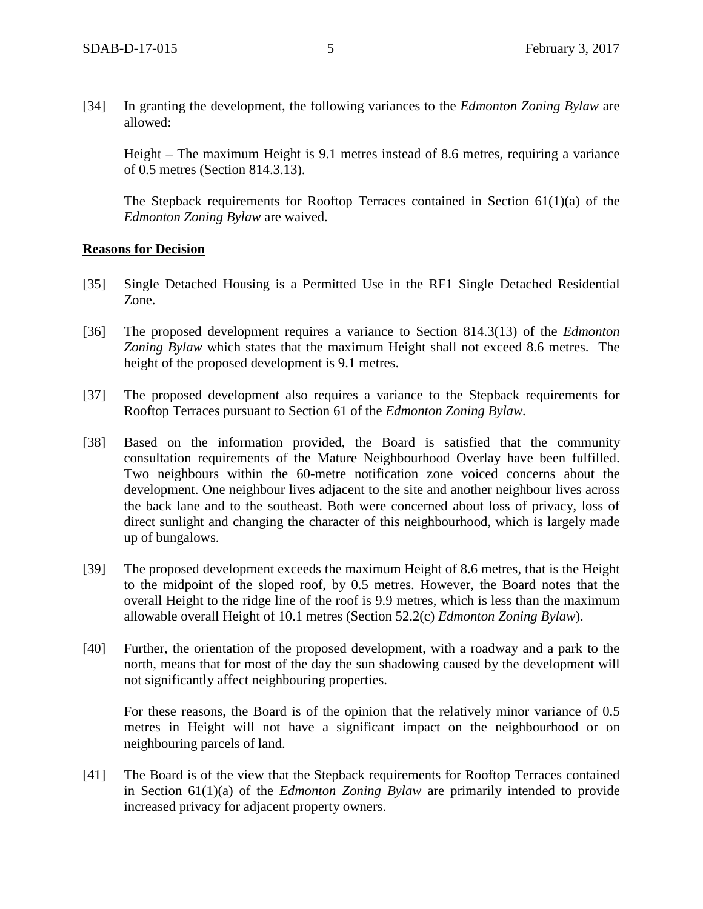[34] In granting the development, the following variances to the *Edmonton Zoning Bylaw* are allowed:

Height – The maximum Height is 9.1 metres instead of 8.6 metres, requiring a variance of 0.5 metres (Section 814.3.13).

The Stepback requirements for Rooftop Terraces contained in Section 61(1)(a) of the *Edmonton Zoning Bylaw* are waived.

#### **Reasons for Decision**

- [35] Single Detached Housing is a Permitted Use in the RF1 Single Detached Residential Zone.
- [36] The proposed development requires a variance to Section 814.3(13) of the *Edmonton Zoning Bylaw* which states that the maximum Height shall not exceed 8.6 metres. The height of the proposed development is 9.1 metres.
- [37] The proposed development also requires a variance to the Stepback requirements for Rooftop Terraces pursuant to Section 61 of the *Edmonton Zoning Bylaw.*
- [38] Based on the information provided, the Board is satisfied that the community consultation requirements of the Mature Neighbourhood Overlay have been fulfilled. Two neighbours within the 60-metre notification zone voiced concerns about the development. One neighbour lives adjacent to the site and another neighbour lives across the back lane and to the southeast. Both were concerned about loss of privacy, loss of direct sunlight and changing the character of this neighbourhood, which is largely made up of bungalows.
- [39] The proposed development exceeds the maximum Height of 8.6 metres, that is the Height to the midpoint of the sloped roof, by 0.5 metres. However, the Board notes that the overall Height to the ridge line of the roof is 9.9 metres, which is less than the maximum allowable overall Height of 10.1 metres (Section 52.2(c) *Edmonton Zoning Bylaw*).
- [40] Further, the orientation of the proposed development, with a roadway and a park to the north, means that for most of the day the sun shadowing caused by the development will not significantly affect neighbouring properties.

For these reasons, the Board is of the opinion that the relatively minor variance of 0.5 metres in Height will not have a significant impact on the neighbourhood or on neighbouring parcels of land.

[41] The Board is of the view that the Stepback requirements for Rooftop Terraces contained in Section 61(1)(a) of the *Edmonton Zoning Bylaw* are primarily intended to provide increased privacy for adjacent property owners.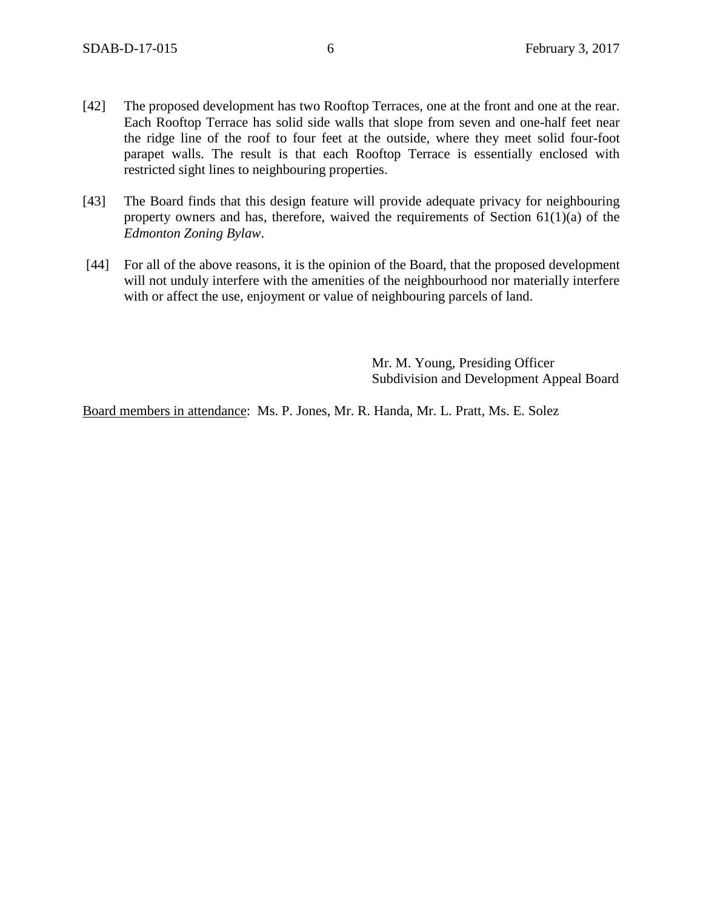- [42] The proposed development has two Rooftop Terraces, one at the front and one at the rear. Each Rooftop Terrace has solid side walls that slope from seven and one-half feet near the ridge line of the roof to four feet at the outside, where they meet solid four-foot parapet walls. The result is that each Rooftop Terrace is essentially enclosed with restricted sight lines to neighbouring properties.
- [43] The Board finds that this design feature will provide adequate privacy for neighbouring property owners and has, therefore, waived the requirements of Section  $61(1)(a)$  of the *Edmonton Zoning Bylaw*.
- [44] For all of the above reasons, it is the opinion of the Board, that the proposed development will not unduly interfere with the amenities of the neighbourhood nor materially interfere with or affect the use, enjoyment or value of neighbouring parcels of land.

Mr. M. Young, Presiding Officer Subdivision and Development Appeal Board

Board members in attendance: Ms. P. Jones, Mr. R. Handa, Mr. L. Pratt, Ms. E. Solez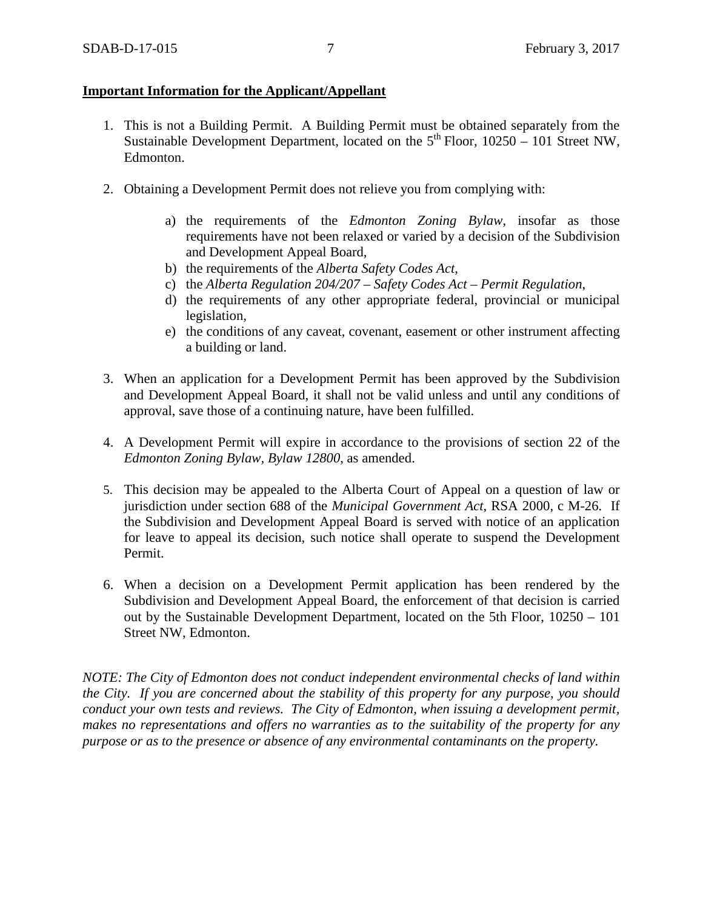# **Important Information for the Applicant/Appellant**

- 1. This is not a Building Permit. A Building Permit must be obtained separately from the Sustainable Development Department, located on the  $5<sup>th</sup>$  Floor, 10250 – 101 Street NW, Edmonton.
- 2. Obtaining a Development Permit does not relieve you from complying with:
	- a) the requirements of the *Edmonton Zoning Bylaw*, insofar as those requirements have not been relaxed or varied by a decision of the Subdivision and Development Appeal Board,
	- b) the requirements of the *Alberta Safety Codes Act*,
	- c) the *Alberta Regulation 204/207 – Safety Codes Act – Permit Regulation*,
	- d) the requirements of any other appropriate federal, provincial or municipal legislation,
	- e) the conditions of any caveat, covenant, easement or other instrument affecting a building or land.
- 3. When an application for a Development Permit has been approved by the Subdivision and Development Appeal Board, it shall not be valid unless and until any conditions of approval, save those of a continuing nature, have been fulfilled.
- 4. A Development Permit will expire in accordance to the provisions of section 22 of the *Edmonton Zoning Bylaw, Bylaw 12800*, as amended.
- 5. This decision may be appealed to the Alberta Court of Appeal on a question of law or jurisdiction under section 688 of the *Municipal Government Act*, RSA 2000, c M-26. If the Subdivision and Development Appeal Board is served with notice of an application for leave to appeal its decision, such notice shall operate to suspend the Development Permit.
- 6. When a decision on a Development Permit application has been rendered by the Subdivision and Development Appeal Board, the enforcement of that decision is carried out by the Sustainable Development Department, located on the 5th Floor, 10250 – 101 Street NW, Edmonton.

*NOTE: The City of Edmonton does not conduct independent environmental checks of land within the City. If you are concerned about the stability of this property for any purpose, you should conduct your own tests and reviews. The City of Edmonton, when issuing a development permit, makes no representations and offers no warranties as to the suitability of the property for any purpose or as to the presence or absence of any environmental contaminants on the property.*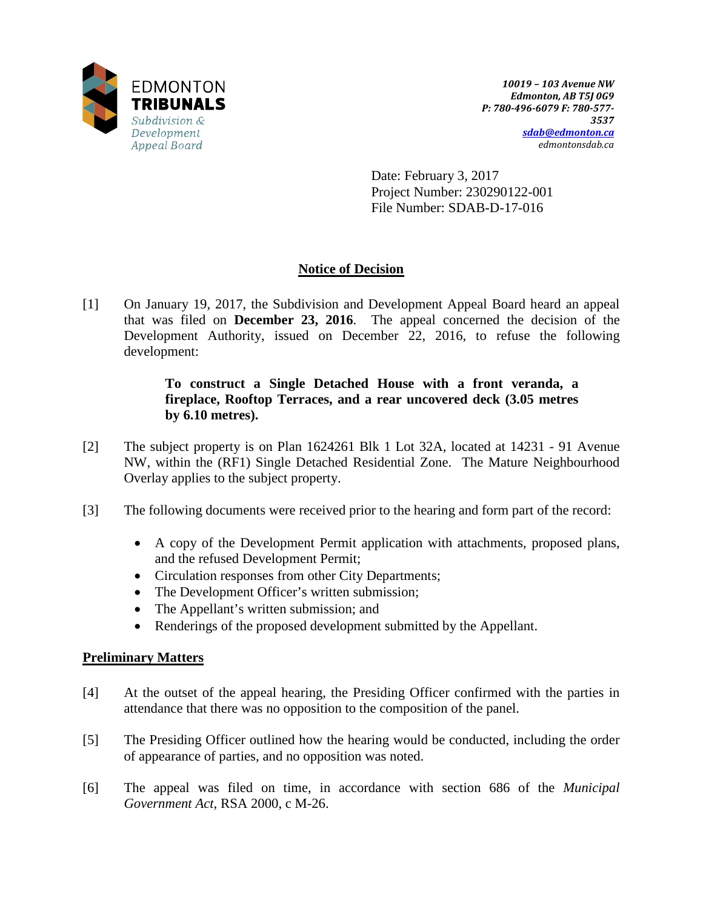

Date: February 3, 2017 Project Number: 230290122-001 File Number: SDAB-D-17-016

# **Notice of Decision**

[1] On January 19, 2017, the Subdivision and Development Appeal Board heard an appeal that was filed on **December 23, 2016**. The appeal concerned the decision of the Development Authority, issued on December 22, 2016, to refuse the following development:

# **To construct a Single Detached House with a front veranda, a fireplace, Rooftop Terraces, and a rear uncovered deck (3.05 metres by 6.10 metres).**

- [2] The subject property is on Plan 1624261 Blk 1 Lot 32A, located at 14231 91 Avenue NW, within the (RF1) Single Detached Residential Zone. The Mature Neighbourhood Overlay applies to the subject property.
- [3] The following documents were received prior to the hearing and form part of the record:
	- A copy of the Development Permit application with attachments, proposed plans, and the refused Development Permit;
	- Circulation responses from other City Departments;
	- The Development Officer's written submission;
	- The Appellant's written submission; and
	- Renderings of the proposed development submitted by the Appellant.

# **Preliminary Matters**

- [4] At the outset of the appeal hearing, the Presiding Officer confirmed with the parties in attendance that there was no opposition to the composition of the panel.
- [5] The Presiding Officer outlined how the hearing would be conducted, including the order of appearance of parties, and no opposition was noted.
- [6] The appeal was filed on time, in accordance with section 686 of the *Municipal Government Act*, RSA 2000, c M-26.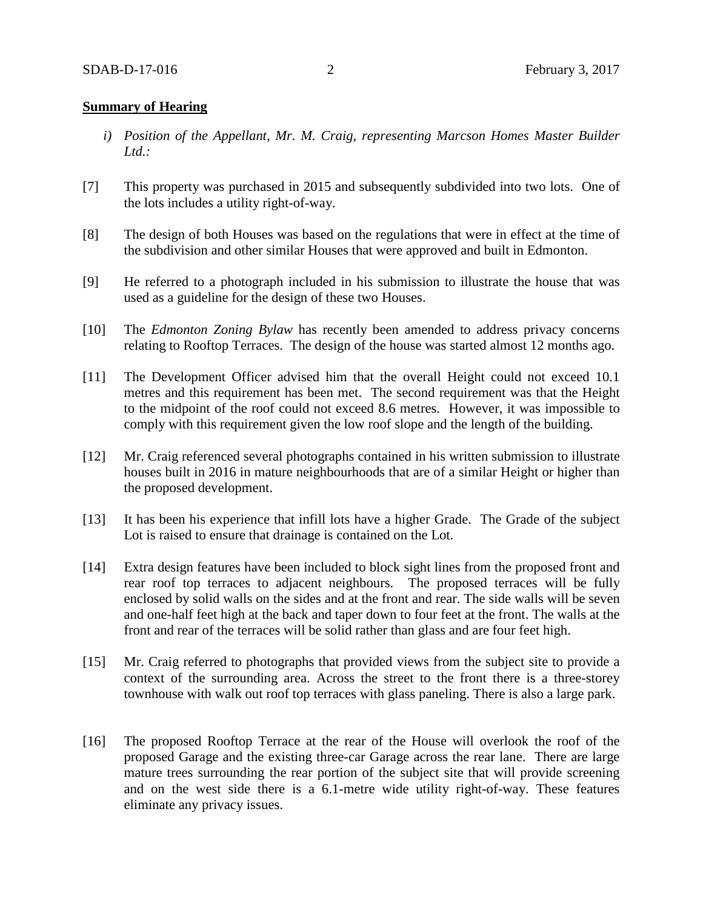#### **Summary of Hearing**

- *i) Position of the Appellant, Mr. M. Craig, representing Marcson Homes Master Builder Ltd.:*
- [7] This property was purchased in 2015 and subsequently subdivided into two lots. One of the lots includes a utility right-of-way.
- [8] The design of both Houses was based on the regulations that were in effect at the time of the subdivision and other similar Houses that were approved and built in Edmonton.
- [9] He referred to a photograph included in his submission to illustrate the house that was used as a guideline for the design of these two Houses.
- [10] The *Edmonton Zoning Bylaw* has recently been amended to address privacy concerns relating to Rooftop Terraces. The design of the house was started almost 12 months ago.
- [11] The Development Officer advised him that the overall Height could not exceed 10.1 metres and this requirement has been met. The second requirement was that the Height to the midpoint of the roof could not exceed 8.6 metres. However, it was impossible to comply with this requirement given the low roof slope and the length of the building.
- [12] Mr. Craig referenced several photographs contained in his written submission to illustrate houses built in 2016 in mature neighbourhoods that are of a similar Height or higher than the proposed development.
- [13] It has been his experience that infill lots have a higher Grade. The Grade of the subject Lot is raised to ensure that drainage is contained on the Lot.
- [14] Extra design features have been included to block sight lines from the proposed front and rear roof top terraces to adjacent neighbours. The proposed terraces will be fully enclosed by solid walls on the sides and at the front and rear. The side walls will be seven and one-half feet high at the back and taper down to four feet at the front. The walls at the front and rear of the terraces will be solid rather than glass and are four feet high.
- [15] Mr. Craig referred to photographs that provided views from the subject site to provide a context of the surrounding area. Across the street to the front there is a three-storey townhouse with walk out roof top terraces with glass paneling. There is also a large park.
- [16] The proposed Rooftop Terrace at the rear of the House will overlook the roof of the proposed Garage and the existing three-car Garage across the rear lane. There are large mature trees surrounding the rear portion of the subject site that will provide screening and on the west side there is a 6.1-metre wide utility right-of-way. These features eliminate any privacy issues.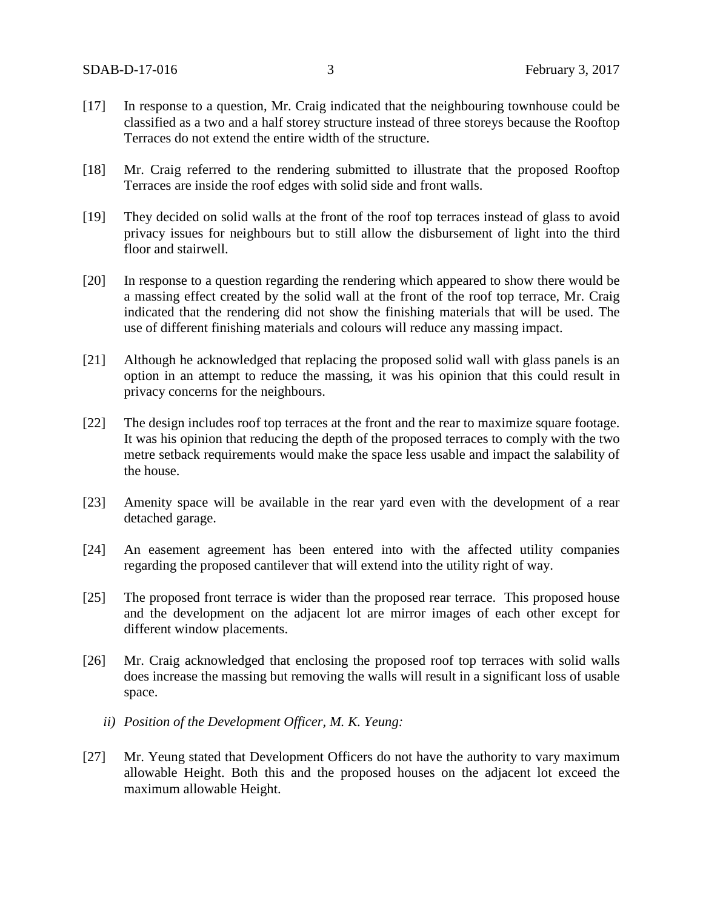- [17] In response to a question, Mr. Craig indicated that the neighbouring townhouse could be classified as a two and a half storey structure instead of three storeys because the Rooftop Terraces do not extend the entire width of the structure.
- [18] Mr. Craig referred to the rendering submitted to illustrate that the proposed Rooftop Terraces are inside the roof edges with solid side and front walls.
- [19] They decided on solid walls at the front of the roof top terraces instead of glass to avoid privacy issues for neighbours but to still allow the disbursement of light into the third floor and stairwell.
- [20] In response to a question regarding the rendering which appeared to show there would be a massing effect created by the solid wall at the front of the roof top terrace, Mr. Craig indicated that the rendering did not show the finishing materials that will be used. The use of different finishing materials and colours will reduce any massing impact.
- [21] Although he acknowledged that replacing the proposed solid wall with glass panels is an option in an attempt to reduce the massing, it was his opinion that this could result in privacy concerns for the neighbours.
- [22] The design includes roof top terraces at the front and the rear to maximize square footage. It was his opinion that reducing the depth of the proposed terraces to comply with the two metre setback requirements would make the space less usable and impact the salability of the house.
- [23] Amenity space will be available in the rear yard even with the development of a rear detached garage.
- [24] An easement agreement has been entered into with the affected utility companies regarding the proposed cantilever that will extend into the utility right of way.
- [25] The proposed front terrace is wider than the proposed rear terrace. This proposed house and the development on the adjacent lot are mirror images of each other except for different window placements.
- [26] Mr. Craig acknowledged that enclosing the proposed roof top terraces with solid walls does increase the massing but removing the walls will result in a significant loss of usable space.
	- *ii) Position of the Development Officer, M. K. Yeung:*
- [27] Mr. Yeung stated that Development Officers do not have the authority to vary maximum allowable Height. Both this and the proposed houses on the adjacent lot exceed the maximum allowable Height.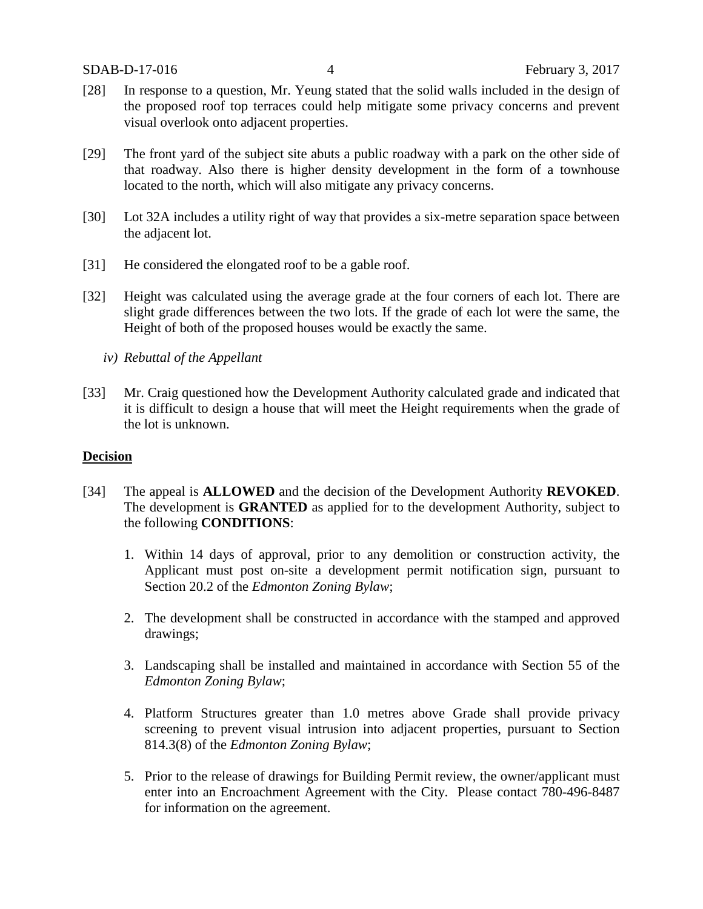- [28] In response to a question, Mr. Yeung stated that the solid walls included in the design of the proposed roof top terraces could help mitigate some privacy concerns and prevent visual overlook onto adjacent properties.
- [29] The front yard of the subject site abuts a public roadway with a park on the other side of that roadway. Also there is higher density development in the form of a townhouse located to the north, which will also mitigate any privacy concerns.
- [30] Lot 32A includes a utility right of way that provides a six-metre separation space between the adjacent lot.
- [31] He considered the elongated roof to be a gable roof.
- [32] Height was calculated using the average grade at the four corners of each lot. There are slight grade differences between the two lots. If the grade of each lot were the same, the Height of both of the proposed houses would be exactly the same.
	- *iv) Rebuttal of the Appellant*
- [33] Mr. Craig questioned how the Development Authority calculated grade and indicated that it is difficult to design a house that will meet the Height requirements when the grade of the lot is unknown.

# **Decision**

- [34] The appeal is **ALLOWED** and the decision of the Development Authority **REVOKED**. The development is **GRANTED** as applied for to the development Authority, subject to the following **CONDITIONS**:
	- 1. Within 14 days of approval, prior to any demolition or construction activity, the Applicant must post on-site a development permit notification sign, pursuant to Section 20.2 of the *Edmonton Zoning Bylaw*;
	- 2. The development shall be constructed in accordance with the stamped and approved drawings;
	- 3. Landscaping shall be installed and maintained in accordance with Section 55 of the *Edmonton Zoning Bylaw*;
	- 4. Platform Structures greater than 1.0 metres above Grade shall provide privacy screening to prevent visual intrusion into adjacent properties, pursuant to Section 814.3(8) of the *Edmonton Zoning Bylaw*;
	- 5. Prior to the release of drawings for Building Permit review, the owner/applicant must enter into an Encroachment Agreement with the City. Please contact 780-496-8487 for information on the agreement.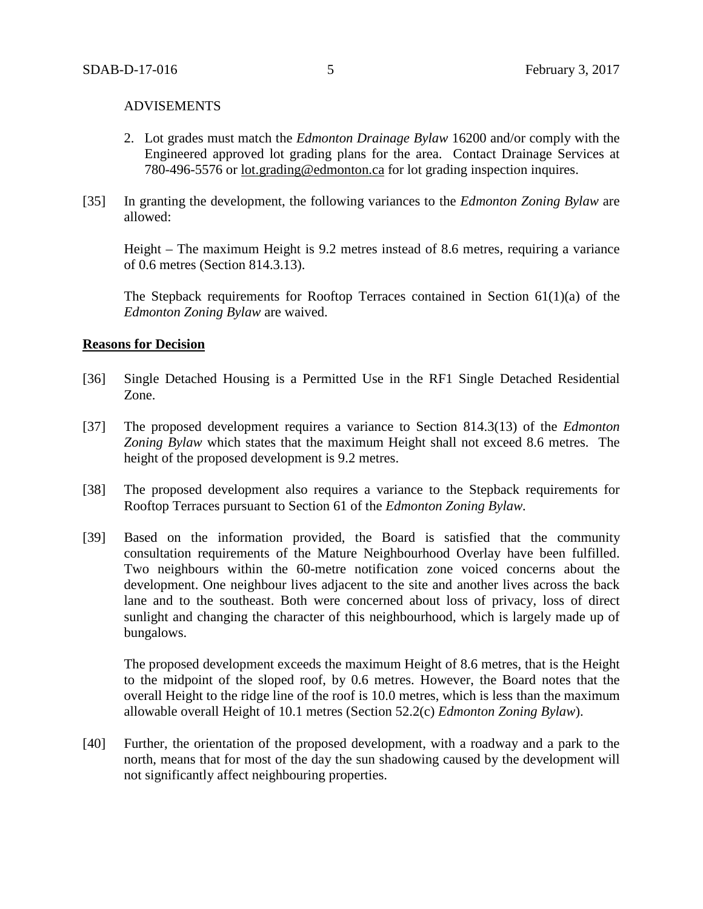#### ADVISEMENTS

- 2. Lot grades must match the *Edmonton Drainage Bylaw* 16200 and/or comply with the Engineered approved lot grading plans for the area. Contact Drainage Services at 780-496-5576 or [lot.grading@edmonton.ca](mailto:lot.grading@edmonton.ca) for lot grading inspection inquires.
- [35] In granting the development, the following variances to the *Edmonton Zoning Bylaw* are allowed:

Height – The maximum Height is 9.2 metres instead of 8.6 metres, requiring a variance of 0.6 metres (Section 814.3.13).

The Stepback requirements for Rooftop Terraces contained in Section  $61(1)(a)$  of the *Edmonton Zoning Bylaw* are waived.

#### **Reasons for Decision**

- [36] Single Detached Housing is a Permitted Use in the RF1 Single Detached Residential Zone.
- [37] The proposed development requires a variance to Section 814.3(13) of the *Edmonton Zoning Bylaw* which states that the maximum Height shall not exceed 8.6 metres. The height of the proposed development is 9.2 metres.
- [38] The proposed development also requires a variance to the Stepback requirements for Rooftop Terraces pursuant to Section 61 of the *Edmonton Zoning Bylaw.*
- [39] Based on the information provided, the Board is satisfied that the community consultation requirements of the Mature Neighbourhood Overlay have been fulfilled. Two neighbours within the 60-metre notification zone voiced concerns about the development. One neighbour lives adjacent to the site and another lives across the back lane and to the southeast. Both were concerned about loss of privacy, loss of direct sunlight and changing the character of this neighbourhood, which is largely made up of bungalows.

The proposed development exceeds the maximum Height of 8.6 metres, that is the Height to the midpoint of the sloped roof, by 0.6 metres. However, the Board notes that the overall Height to the ridge line of the roof is 10.0 metres, which is less than the maximum allowable overall Height of 10.1 metres (Section 52.2(c) *Edmonton Zoning Bylaw*).

[40] Further, the orientation of the proposed development, with a roadway and a park to the north, means that for most of the day the sun shadowing caused by the development will not significantly affect neighbouring properties.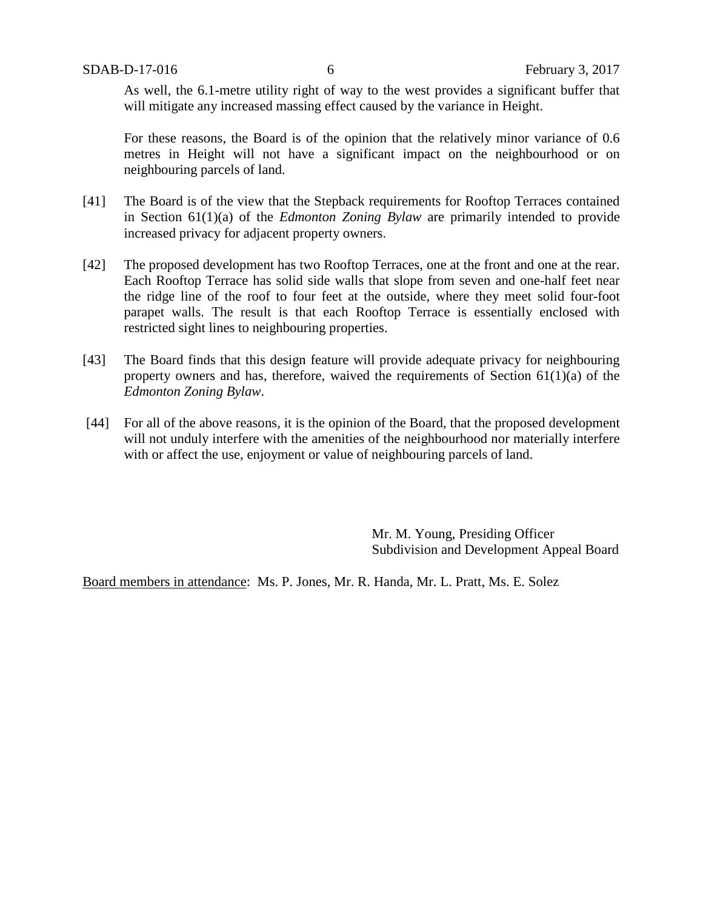As well, the 6.1-metre utility right of way to the west provides a significant buffer that will mitigate any increased massing effect caused by the variance in Height.

For these reasons, the Board is of the opinion that the relatively minor variance of 0.6 metres in Height will not have a significant impact on the neighbourhood or on neighbouring parcels of land.

- [41] The Board is of the view that the Stepback requirements for Rooftop Terraces contained in Section 61(1)(a) of the *Edmonton Zoning Bylaw* are primarily intended to provide increased privacy for adjacent property owners.
- [42] The proposed development has two Rooftop Terraces, one at the front and one at the rear. Each Rooftop Terrace has solid side walls that slope from seven and one-half feet near the ridge line of the roof to four feet at the outside, where they meet solid four-foot parapet walls. The result is that each Rooftop Terrace is essentially enclosed with restricted sight lines to neighbouring properties.
- [43] The Board finds that this design feature will provide adequate privacy for neighbouring property owners and has, therefore, waived the requirements of Section  $61(1)(a)$  of the *Edmonton Zoning Bylaw*.
- [44] For all of the above reasons, it is the opinion of the Board, that the proposed development will not unduly interfere with the amenities of the neighbourhood nor materially interfere with or affect the use, enjoyment or value of neighbouring parcels of land.

Mr. M. Young, Presiding Officer Subdivision and Development Appeal Board

Board members in attendance: Ms. P. Jones, Mr. R. Handa, Mr. L. Pratt, Ms. E. Solez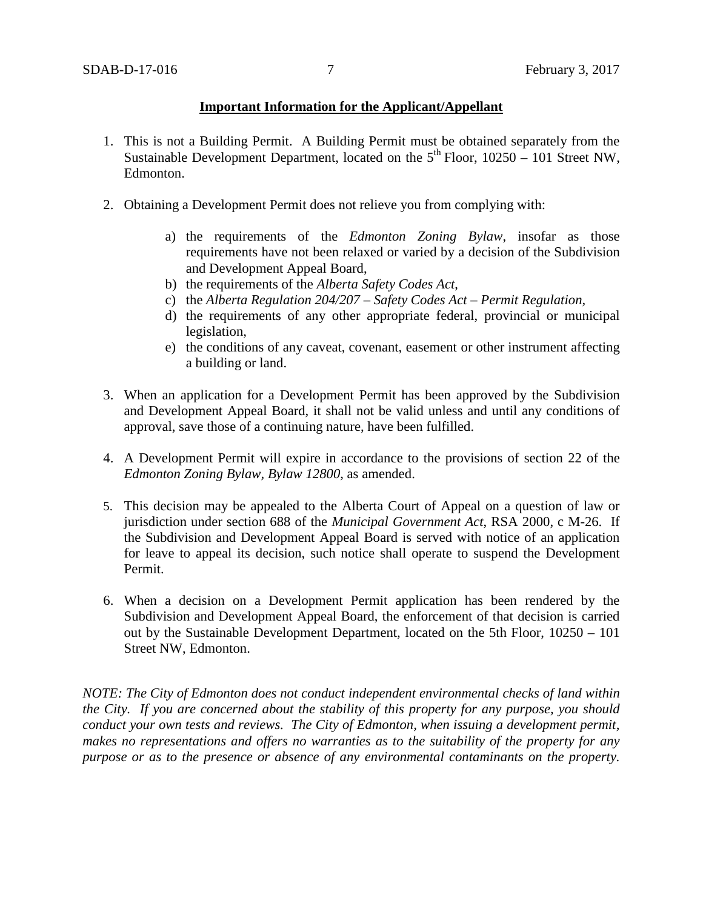# **Important Information for the Applicant/Appellant**

- 1. This is not a Building Permit. A Building Permit must be obtained separately from the Sustainable Development Department, located on the  $5<sup>th</sup>$  Floor, 10250 – 101 Street NW, Edmonton.
- 2. Obtaining a Development Permit does not relieve you from complying with:
	- a) the requirements of the *Edmonton Zoning Bylaw*, insofar as those requirements have not been relaxed or varied by a decision of the Subdivision and Development Appeal Board,
	- b) the requirements of the *Alberta Safety Codes Act*,
	- c) the *Alberta Regulation 204/207 – Safety Codes Act – Permit Regulation*,
	- d) the requirements of any other appropriate federal, provincial or municipal legislation,
	- e) the conditions of any caveat, covenant, easement or other instrument affecting a building or land.
- 3. When an application for a Development Permit has been approved by the Subdivision and Development Appeal Board, it shall not be valid unless and until any conditions of approval, save those of a continuing nature, have been fulfilled.
- 4. A Development Permit will expire in accordance to the provisions of section 22 of the *Edmonton Zoning Bylaw, Bylaw 12800*, as amended.
- 5. This decision may be appealed to the Alberta Court of Appeal on a question of law or jurisdiction under section 688 of the *Municipal Government Act*, RSA 2000, c M-26. If the Subdivision and Development Appeal Board is served with notice of an application for leave to appeal its decision, such notice shall operate to suspend the Development Permit.
- 6. When a decision on a Development Permit application has been rendered by the Subdivision and Development Appeal Board, the enforcement of that decision is carried out by the Sustainable Development Department, located on the 5th Floor, 10250 – 101 Street NW, Edmonton.

*NOTE: The City of Edmonton does not conduct independent environmental checks of land within the City. If you are concerned about the stability of this property for any purpose, you should conduct your own tests and reviews. The City of Edmonton, when issuing a development permit, makes no representations and offers no warranties as to the suitability of the property for any purpose or as to the presence or absence of any environmental contaminants on the property.*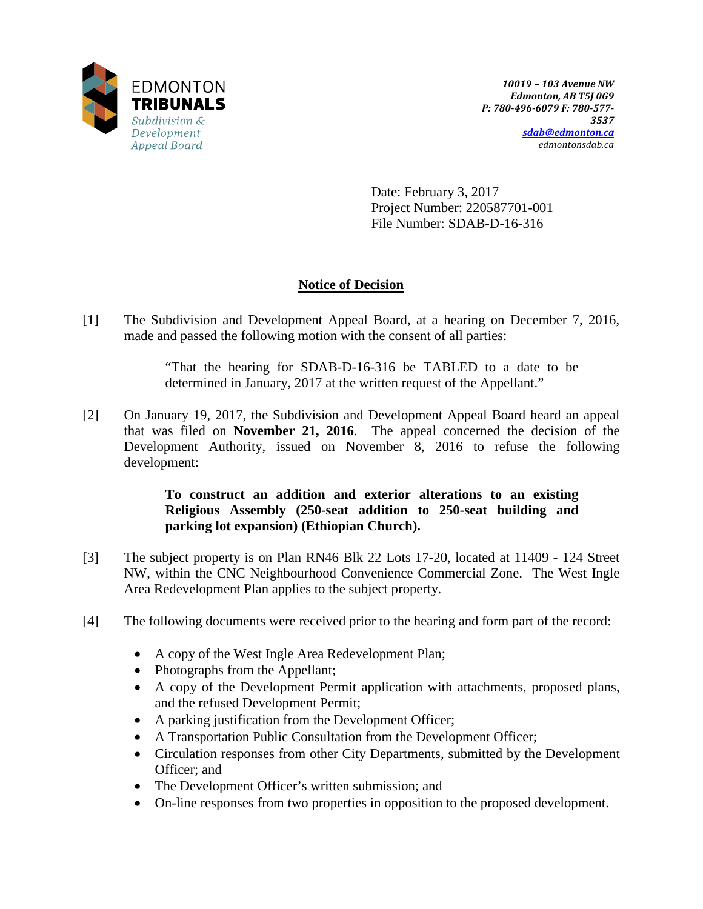

Date: February 3, 2017 Project Number: 220587701-001 File Number: SDAB-D-16-316

# **Notice of Decision**

[1] The Subdivision and Development Appeal Board, at a hearing on December 7, 2016, made and passed the following motion with the consent of all parties:

> "That the hearing for SDAB-D-16-316 be TABLED to a date to be determined in January, 2017 at the written request of the Appellant."

[2] On January 19, 2017, the Subdivision and Development Appeal Board heard an appeal that was filed on **November 21, 2016**. The appeal concerned the decision of the Development Authority, issued on November 8, 2016 to refuse the following development:

# **To construct an addition and exterior alterations to an existing Religious Assembly (250-seat addition to 250-seat building and parking lot expansion) (Ethiopian Church).**

- [3] The subject property is on Plan RN46 Blk 22 Lots 17-20, located at 11409 124 Street NW, within the CNC Neighbourhood Convenience Commercial Zone. The West Ingle Area Redevelopment Plan applies to the subject property.
- [4] The following documents were received prior to the hearing and form part of the record:
	- A copy of the West Ingle Area Redevelopment Plan;
	- Photographs from the Appellant;
	- A copy of the Development Permit application with attachments, proposed plans, and the refused Development Permit;
	- A parking justification from the Development Officer;
	- A Transportation Public Consultation from the Development Officer;
	- Circulation responses from other City Departments, submitted by the Development Officer; and
	- The Development Officer's written submission; and
	- On-line responses from two properties in opposition to the proposed development.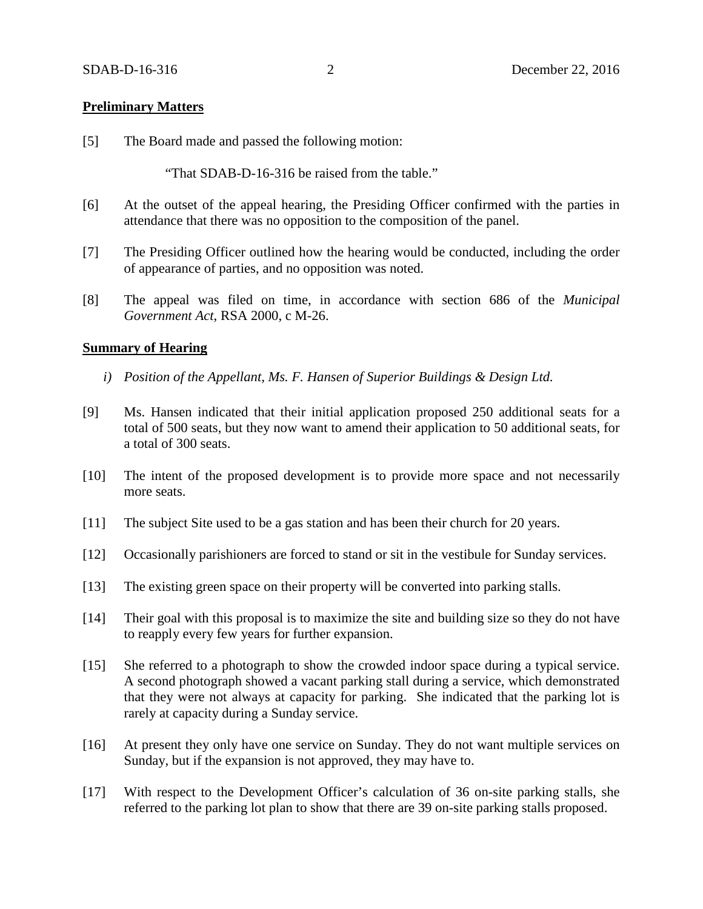### **Preliminary Matters**

[5] The Board made and passed the following motion:

"That SDAB-D-16-316 be raised from the table."

- [6] At the outset of the appeal hearing, the Presiding Officer confirmed with the parties in attendance that there was no opposition to the composition of the panel.
- [7] The Presiding Officer outlined how the hearing would be conducted, including the order of appearance of parties, and no opposition was noted.
- [8] The appeal was filed on time, in accordance with section 686 of the *Municipal Government Act*, RSA 2000, c M-26.

#### **Summary of Hearing**

- *i) Position of the Appellant, Ms. F. Hansen of Superior Buildings & Design Ltd.*
- [9] Ms. Hansen indicated that their initial application proposed 250 additional seats for a total of 500 seats, but they now want to amend their application to 50 additional seats, for a total of 300 seats.
- [10] The intent of the proposed development is to provide more space and not necessarily more seats.
- [11] The subject Site used to be a gas station and has been their church for 20 years.
- [12] Occasionally parishioners are forced to stand or sit in the vestibule for Sunday services.
- [13] The existing green space on their property will be converted into parking stalls.
- [14] Their goal with this proposal is to maximize the site and building size so they do not have to reapply every few years for further expansion.
- [15] She referred to a photograph to show the crowded indoor space during a typical service. A second photograph showed a vacant parking stall during a service, which demonstrated that they were not always at capacity for parking. She indicated that the parking lot is rarely at capacity during a Sunday service.
- [16] At present they only have one service on Sunday. They do not want multiple services on Sunday, but if the expansion is not approved, they may have to.
- [17] With respect to the Development Officer's calculation of 36 on-site parking stalls, she referred to the parking lot plan to show that there are 39 on-site parking stalls proposed.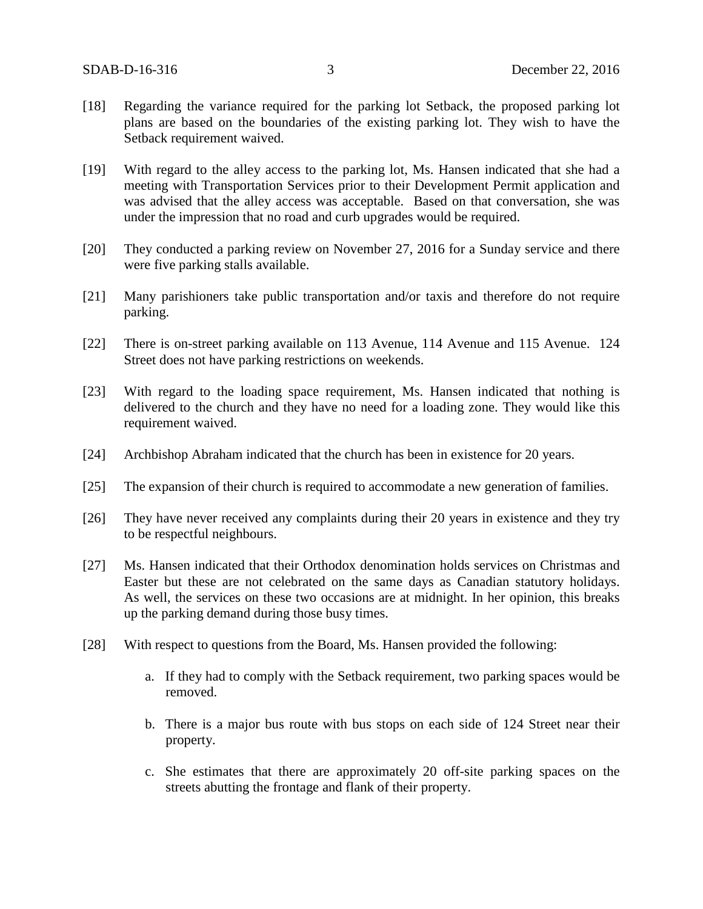- [18] Regarding the variance required for the parking lot Setback, the proposed parking lot plans are based on the boundaries of the existing parking lot. They wish to have the Setback requirement waived.
- [19] With regard to the alley access to the parking lot, Ms. Hansen indicated that she had a meeting with Transportation Services prior to their Development Permit application and was advised that the alley access was acceptable. Based on that conversation, she was under the impression that no road and curb upgrades would be required.
- [20] They conducted a parking review on November 27, 2016 for a Sunday service and there were five parking stalls available.
- [21] Many parishioners take public transportation and/or taxis and therefore do not require parking.
- [22] There is on-street parking available on 113 Avenue, 114 Avenue and 115 Avenue. 124 Street does not have parking restrictions on weekends.
- [23] With regard to the loading space requirement, Ms. Hansen indicated that nothing is delivered to the church and they have no need for a loading zone. They would like this requirement waived.
- [24] Archbishop Abraham indicated that the church has been in existence for 20 years.
- [25] The expansion of their church is required to accommodate a new generation of families.
- [26] They have never received any complaints during their 20 years in existence and they try to be respectful neighbours.
- [27] Ms. Hansen indicated that their Orthodox denomination holds services on Christmas and Easter but these are not celebrated on the same days as Canadian statutory holidays. As well, the services on these two occasions are at midnight. In her opinion, this breaks up the parking demand during those busy times.
- [28] With respect to questions from the Board, Ms. Hansen provided the following:
	- a. If they had to comply with the Setback requirement, two parking spaces would be removed.
	- b. There is a major bus route with bus stops on each side of 124 Street near their property.
	- c. She estimates that there are approximately 20 off-site parking spaces on the streets abutting the frontage and flank of their property.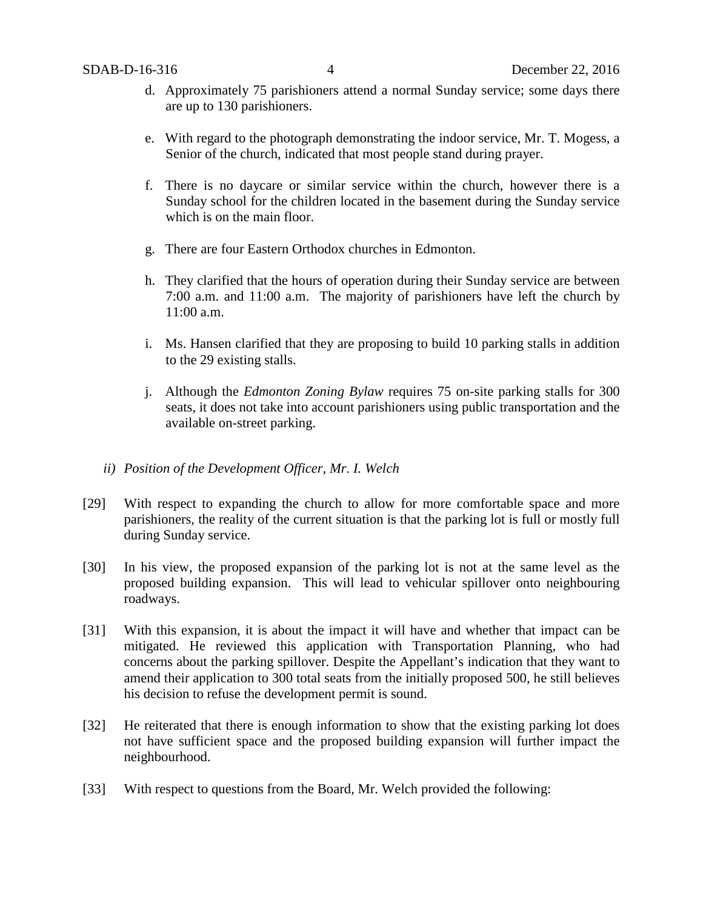- d. Approximately 75 parishioners attend a normal Sunday service; some days there are up to 130 parishioners.
- e. With regard to the photograph demonstrating the indoor service, Mr. T. Mogess, a Senior of the church, indicated that most people stand during prayer.
- f. There is no daycare or similar service within the church, however there is a Sunday school for the children located in the basement during the Sunday service which is on the main floor.
- g. There are four Eastern Orthodox churches in Edmonton.
- h. They clarified that the hours of operation during their Sunday service are between 7:00 a.m. and 11:00 a.m. The majority of parishioners have left the church by 11:00 a.m.
- i. Ms. Hansen clarified that they are proposing to build 10 parking stalls in addition to the 29 existing stalls.
- j. Although the *Edmonton Zoning Bylaw* requires 75 on-site parking stalls for 300 seats, it does not take into account parishioners using public transportation and the available on-street parking.

# *ii) Position of the Development Officer, Mr. I. Welch*

- [29] With respect to expanding the church to allow for more comfortable space and more parishioners, the reality of the current situation is that the parking lot is full or mostly full during Sunday service.
- [30] In his view, the proposed expansion of the parking lot is not at the same level as the proposed building expansion. This will lead to vehicular spillover onto neighbouring roadways.
- [31] With this expansion, it is about the impact it will have and whether that impact can be mitigated. He reviewed this application with Transportation Planning, who had concerns about the parking spillover. Despite the Appellant's indication that they want to amend their application to 300 total seats from the initially proposed 500, he still believes his decision to refuse the development permit is sound.
- [32] He reiterated that there is enough information to show that the existing parking lot does not have sufficient space and the proposed building expansion will further impact the neighbourhood.
- [33] With respect to questions from the Board, Mr. Welch provided the following: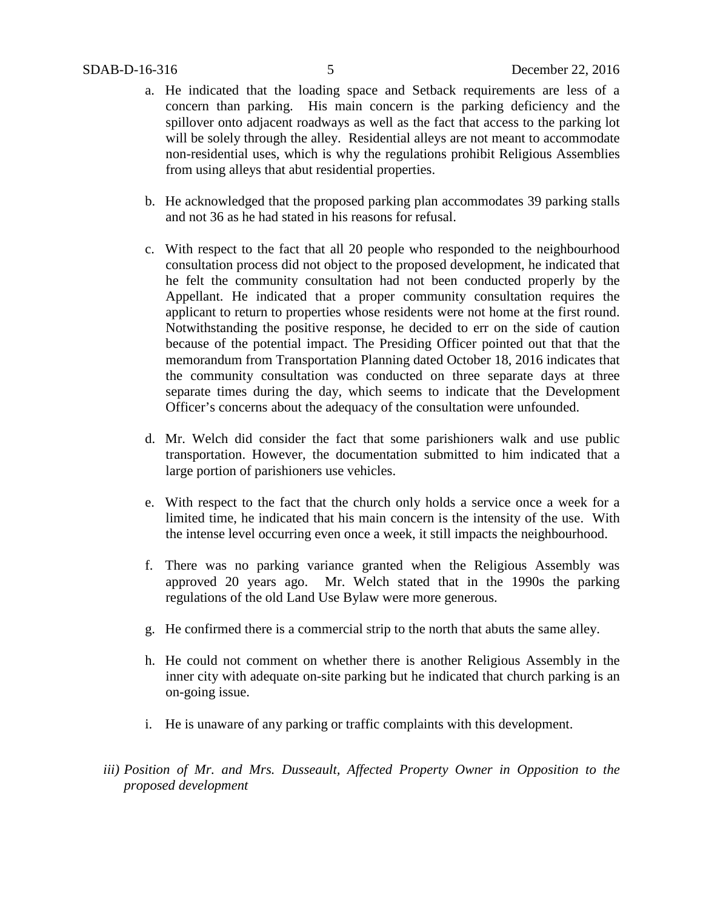- a. He indicated that the loading space and Setback requirements are less of a concern than parking. His main concern is the parking deficiency and the spillover onto adjacent roadways as well as the fact that access to the parking lot will be solely through the alley. Residential alleys are not meant to accommodate non-residential uses, which is why the regulations prohibit Religious Assemblies from using alleys that abut residential properties.
- b. He acknowledged that the proposed parking plan accommodates 39 parking stalls and not 36 as he had stated in his reasons for refusal.
- c. With respect to the fact that all 20 people who responded to the neighbourhood consultation process did not object to the proposed development, he indicated that he felt the community consultation had not been conducted properly by the Appellant. He indicated that a proper community consultation requires the applicant to return to properties whose residents were not home at the first round. Notwithstanding the positive response, he decided to err on the side of caution because of the potential impact. The Presiding Officer pointed out that that the memorandum from Transportation Planning dated October 18, 2016 indicates that the community consultation was conducted on three separate days at three separate times during the day, which seems to indicate that the Development Officer's concerns about the adequacy of the consultation were unfounded.
- d. Mr. Welch did consider the fact that some parishioners walk and use public transportation. However, the documentation submitted to him indicated that a large portion of parishioners use vehicles.
- e. With respect to the fact that the church only holds a service once a week for a limited time, he indicated that his main concern is the intensity of the use. With the intense level occurring even once a week, it still impacts the neighbourhood.
- f. There was no parking variance granted when the Religious Assembly was approved 20 years ago. Mr. Welch stated that in the 1990s the parking regulations of the old Land Use Bylaw were more generous.
- g. He confirmed there is a commercial strip to the north that abuts the same alley.
- h. He could not comment on whether there is another Religious Assembly in the inner city with adequate on-site parking but he indicated that church parking is an on-going issue.
- i. He is unaware of any parking or traffic complaints with this development.
- *iii) Position of Mr. and Mrs. Dusseault, Affected Property Owner in Opposition to the proposed development*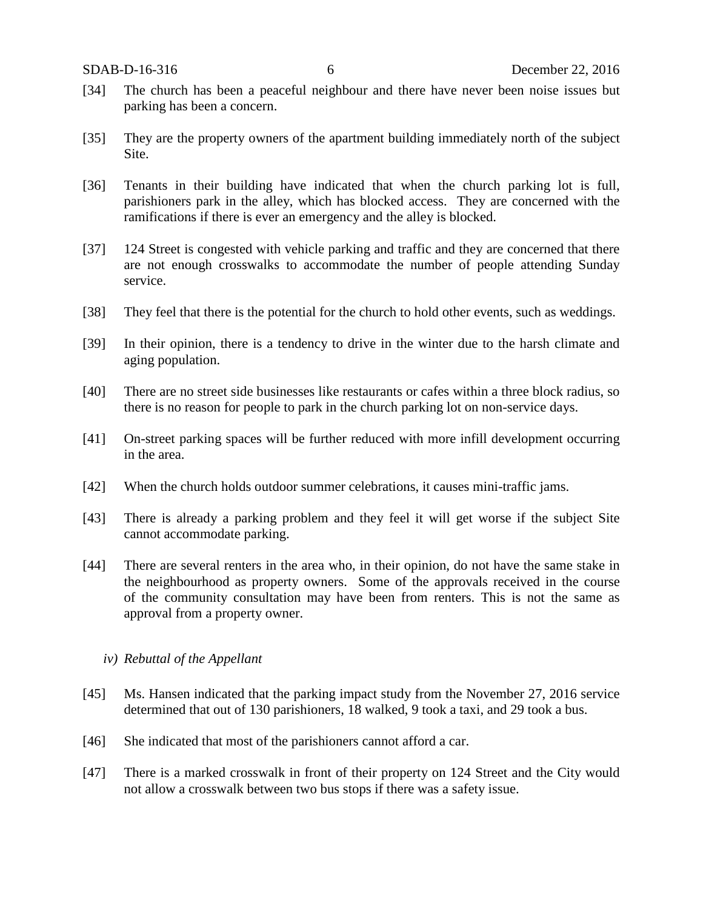- [34] The church has been a peaceful neighbour and there have never been noise issues but parking has been a concern.
- [35] They are the property owners of the apartment building immediately north of the subject Site.
- [36] Tenants in their building have indicated that when the church parking lot is full, parishioners park in the alley, which has blocked access. They are concerned with the ramifications if there is ever an emergency and the alley is blocked.
- [37] 124 Street is congested with vehicle parking and traffic and they are concerned that there are not enough crosswalks to accommodate the number of people attending Sunday service.
- [38] They feel that there is the potential for the church to hold other events, such as weddings.
- [39] In their opinion, there is a tendency to drive in the winter due to the harsh climate and aging population.
- [40] There are no street side businesses like restaurants or cafes within a three block radius, so there is no reason for people to park in the church parking lot on non-service days.
- [41] On-street parking spaces will be further reduced with more infill development occurring in the area.
- [42] When the church holds outdoor summer celebrations, it causes mini-traffic jams.
- [43] There is already a parking problem and they feel it will get worse if the subject Site cannot accommodate parking.
- [44] There are several renters in the area who, in their opinion, do not have the same stake in the neighbourhood as property owners. Some of the approvals received in the course of the community consultation may have been from renters. This is not the same as approval from a property owner.

# *iv) Rebuttal of the Appellant*

- [45] Ms. Hansen indicated that the parking impact study from the November 27, 2016 service determined that out of 130 parishioners, 18 walked, 9 took a taxi, and 29 took a bus.
- [46] She indicated that most of the parishioners cannot afford a car.
- [47] There is a marked crosswalk in front of their property on 124 Street and the City would not allow a crosswalk between two bus stops if there was a safety issue.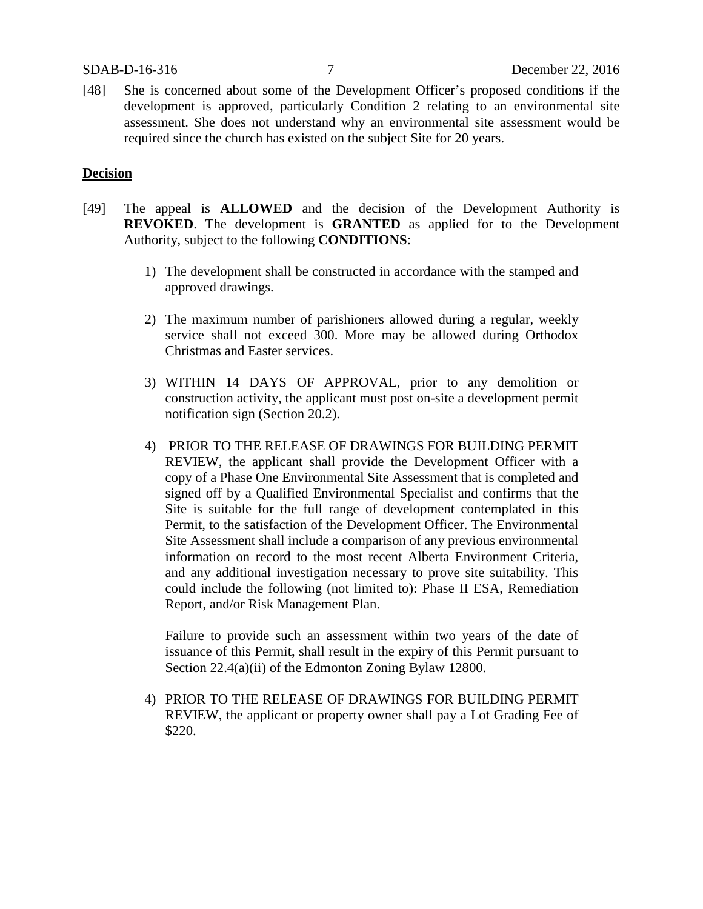[48] She is concerned about some of the Development Officer's proposed conditions if the development is approved, particularly Condition 2 relating to an environmental site assessment. She does not understand why an environmental site assessment would be required since the church has existed on the subject Site for 20 years.

### **Decision**

- [49] The appeal is **ALLOWED** and the decision of the Development Authority is **REVOKED**. The development is **GRANTED** as applied for to the Development Authority, subject to the following **CONDITIONS**:
	- 1) The development shall be constructed in accordance with the stamped and approved drawings.
	- 2) The maximum number of parishioners allowed during a regular, weekly service shall not exceed 300. More may be allowed during Orthodox Christmas and Easter services.
	- 3) WITHIN 14 DAYS OF APPROVAL, prior to any demolition or construction activity, the applicant must post on-site a development permit notification sign (Section 20.2).
	- 4) PRIOR TO THE RELEASE OF DRAWINGS FOR BUILDING PERMIT REVIEW, the applicant shall provide the Development Officer with a copy of a Phase One Environmental Site Assessment that is completed and signed off by a Qualified Environmental Specialist and confirms that the Site is suitable for the full range of development contemplated in this Permit, to the satisfaction of the Development Officer. The Environmental Site Assessment shall include a comparison of any previous environmental information on record to the most recent Alberta Environment Criteria, and any additional investigation necessary to prove site suitability. This could include the following (not limited to): Phase II ESA, Remediation Report, and/or Risk Management Plan.

Failure to provide such an assessment within two years of the date of issuance of this Permit, shall result in the expiry of this Permit pursuant to Section 22.4(a)(ii) of the Edmonton Zoning Bylaw 12800.

4) PRIOR TO THE RELEASE OF DRAWINGS FOR BUILDING PERMIT REVIEW, the applicant or property owner shall pay a Lot Grading Fee of \$220.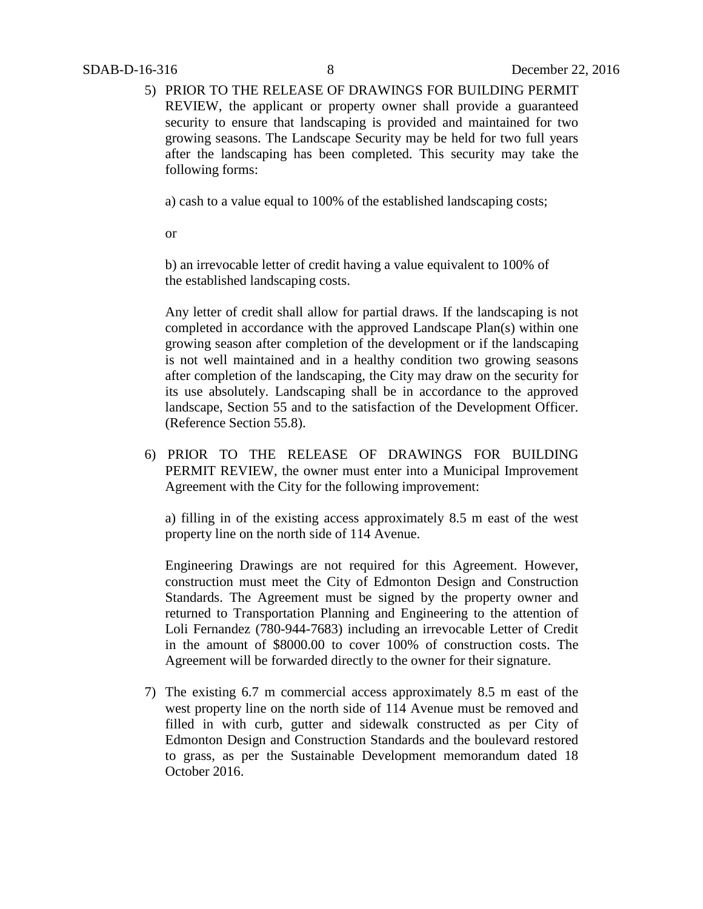5) PRIOR TO THE RELEASE OF DRAWINGS FOR BUILDING PERMIT REVIEW, the applicant or property owner shall provide a guaranteed security to ensure that landscaping is provided and maintained for two growing seasons. The Landscape Security may be held for two full years after the landscaping has been completed. This security may take the following forms:

a) cash to a value equal to 100% of the established landscaping costs;

or

b) an irrevocable letter of credit having a value equivalent to 100% of the established landscaping costs.

Any letter of credit shall allow for partial draws. If the landscaping is not completed in accordance with the approved Landscape Plan(s) within one growing season after completion of the development or if the landscaping is not well maintained and in a healthy condition two growing seasons after completion of the landscaping, the City may draw on the security for its use absolutely. Landscaping shall be in accordance to the approved landscape, Section 55 and to the satisfaction of the Development Officer. (Reference Section 55.8).

6) PRIOR TO THE RELEASE OF DRAWINGS FOR BUILDING PERMIT REVIEW, the owner must enter into a Municipal Improvement Agreement with the City for the following improvement:

a) filling in of the existing access approximately 8.5 m east of the west property line on the north side of 114 Avenue.

Engineering Drawings are not required for this Agreement. However, construction must meet the City of Edmonton Design and Construction Standards. The Agreement must be signed by the property owner and returned to Transportation Planning and Engineering to the attention of Loli Fernandez (780-944-7683) including an irrevocable Letter of Credit in the amount of \$8000.00 to cover 100% of construction costs. The Agreement will be forwarded directly to the owner for their signature.

7) The existing 6.7 m commercial access approximately 8.5 m east of the west property line on the north side of 114 Avenue must be removed and filled in with curb, gutter and sidewalk constructed as per City of Edmonton Design and Construction Standards and the boulevard restored to grass, as per the Sustainable Development memorandum dated 18 October 2016.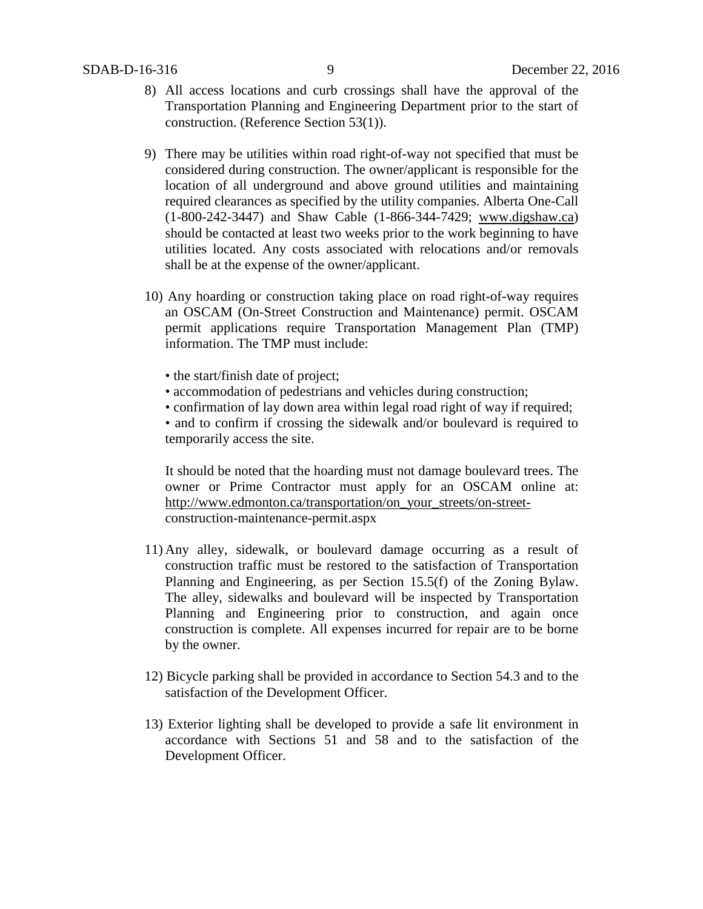- 8) All access locations and curb crossings shall have the approval of the Transportation Planning and Engineering Department prior to the start of construction. (Reference Section 53(1)).
- 9) There may be utilities within road right-of-way not specified that must be considered during construction. The owner/applicant is responsible for the location of all underground and above ground utilities and maintaining required clearances as specified by the utility companies. Alberta One-Call (1-800-242-3447) and Shaw Cable (1-866-344-7429; [www.digshaw.ca\)](http://www.digshaw.ca/) should be contacted at least two weeks prior to the work beginning to have utilities located. Any costs associated with relocations and/or removals shall be at the expense of the owner/applicant.
- 10) Any hoarding or construction taking place on road right-of-way requires an OSCAM (On-Street Construction and Maintenance) permit. OSCAM permit applications require Transportation Management Plan (TMP) information. The TMP must include:
	- the start/finish date of project;
	- accommodation of pedestrians and vehicles during construction;
	- confirmation of lay down area within legal road right of way if required;
	- and to confirm if crossing the sidewalk and/or boulevard is required to temporarily access the site.

It should be noted that the hoarding must not damage boulevard trees. The owner or Prime Contractor must apply for an OSCAM online at: [http://www.edmonton.ca/transportation/on\\_your\\_streets/on-street](http://www.edmonton.ca/transportation/on_your_streets/on-street-)construction-maintenance-permit.aspx

- 11) Any alley, sidewalk, or boulevard damage occurring as a result of construction traffic must be restored to the satisfaction of Transportation Planning and Engineering, as per Section 15.5(f) of the Zoning Bylaw. The alley, sidewalks and boulevard will be inspected by Transportation Planning and Engineering prior to construction, and again once construction is complete. All expenses incurred for repair are to be borne by the owner.
- 12) Bicycle parking shall be provided in accordance to Section 54.3 and to the satisfaction of the Development Officer.
- 13) Exterior lighting shall be developed to provide a safe lit environment in accordance with Sections 51 and 58 and to the satisfaction of the Development Officer.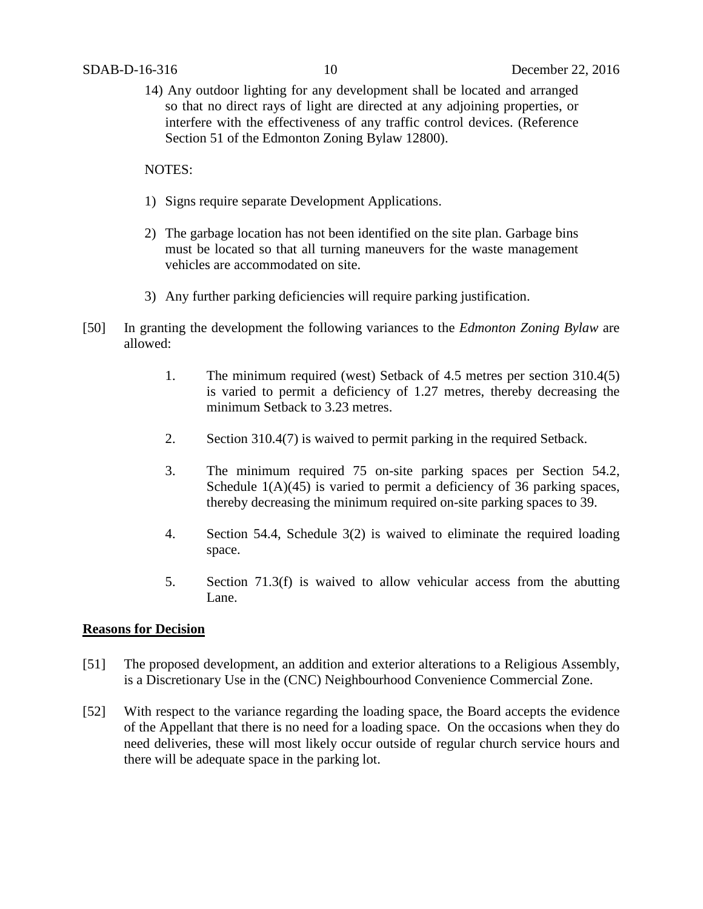14) Any outdoor lighting for any development shall be located and arranged so that no direct rays of light are directed at any adjoining properties, or interfere with the effectiveness of any traffic control devices. (Reference Section 51 of the Edmonton Zoning Bylaw 12800).

NOTES:

- 1) Signs require separate Development Applications.
- 2) The garbage location has not been identified on the site plan. Garbage bins must be located so that all turning maneuvers for the waste management vehicles are accommodated on site.
- 3) Any further parking deficiencies will require parking justification.
- [50] In granting the development the following variances to the *Edmonton Zoning Bylaw* are allowed:
	- 1. The minimum required (west) Setback of 4.5 metres per section 310.4(5) is varied to permit a deficiency of 1.27 metres, thereby decreasing the minimum Setback to 3.23 metres.
	- 2. Section 310.4(7) is waived to permit parking in the required Setback.
	- 3. The minimum required 75 on-site parking spaces per Section 54.2, Schedule  $1(A)(45)$  is varied to permit a deficiency of 36 parking spaces, thereby decreasing the minimum required on-site parking spaces to 39.
	- 4. Section 54.4, Schedule 3(2) is waived to eliminate the required loading space.
	- 5. Section 71.3(f) is waived to allow vehicular access from the abutting Lane.

# **Reasons for Decision**

- [51] The proposed development, an addition and exterior alterations to a Religious Assembly, is a Discretionary Use in the (CNC) Neighbourhood Convenience Commercial Zone.
- [52] With respect to the variance regarding the loading space, the Board accepts the evidence of the Appellant that there is no need for a loading space. On the occasions when they do need deliveries, these will most likely occur outside of regular church service hours and there will be adequate space in the parking lot.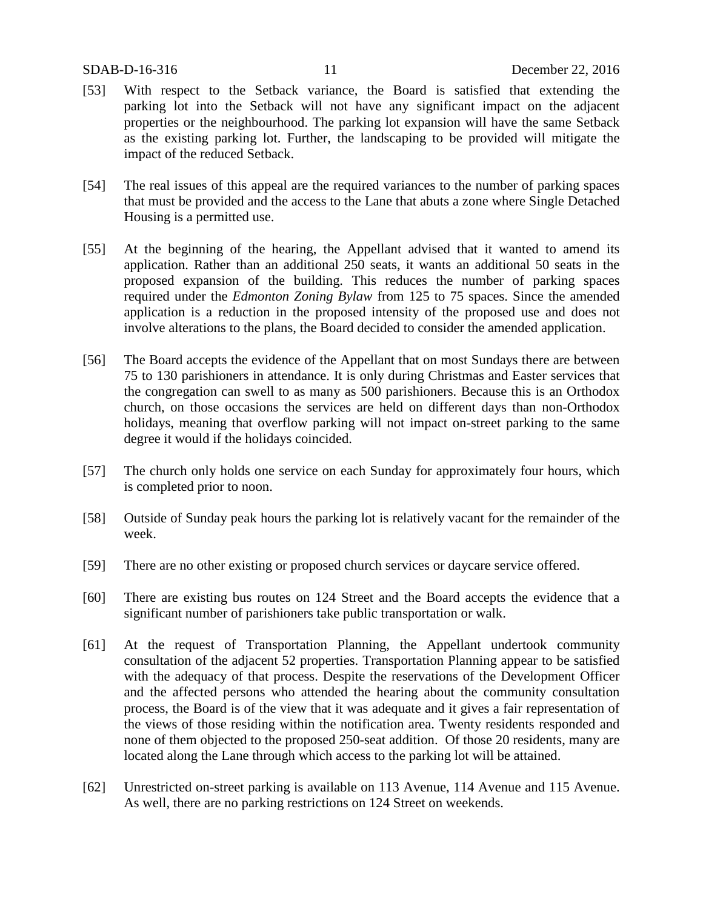- [53] With respect to the Setback variance, the Board is satisfied that extending the parking lot into the Setback will not have any significant impact on the adjacent properties or the neighbourhood. The parking lot expansion will have the same Setback as the existing parking lot. Further, the landscaping to be provided will mitigate the impact of the reduced Setback.
- [54] The real issues of this appeal are the required variances to the number of parking spaces that must be provided and the access to the Lane that abuts a zone where Single Detached Housing is a permitted use.
- [55] At the beginning of the hearing, the Appellant advised that it wanted to amend its application. Rather than an additional 250 seats, it wants an additional 50 seats in the proposed expansion of the building. This reduces the number of parking spaces required under the *Edmonton Zoning Bylaw* from 125 to 75 spaces. Since the amended application is a reduction in the proposed intensity of the proposed use and does not involve alterations to the plans, the Board decided to consider the amended application.
- [56] The Board accepts the evidence of the Appellant that on most Sundays there are between 75 to 130 parishioners in attendance. It is only during Christmas and Easter services that the congregation can swell to as many as 500 parishioners. Because this is an Orthodox church, on those occasions the services are held on different days than non-Orthodox holidays, meaning that overflow parking will not impact on-street parking to the same degree it would if the holidays coincided.
- [57] The church only holds one service on each Sunday for approximately four hours, which is completed prior to noon.
- [58] Outside of Sunday peak hours the parking lot is relatively vacant for the remainder of the week.
- [59] There are no other existing or proposed church services or daycare service offered.
- [60] There are existing bus routes on 124 Street and the Board accepts the evidence that a significant number of parishioners take public transportation or walk.
- [61] At the request of Transportation Planning, the Appellant undertook community consultation of the adjacent 52 properties. Transportation Planning appear to be satisfied with the adequacy of that process. Despite the reservations of the Development Officer and the affected persons who attended the hearing about the community consultation process, the Board is of the view that it was adequate and it gives a fair representation of the views of those residing within the notification area. Twenty residents responded and none of them objected to the proposed 250-seat addition. Of those 20 residents, many are located along the Lane through which access to the parking lot will be attained.
- [62] Unrestricted on-street parking is available on 113 Avenue, 114 Avenue and 115 Avenue. As well, there are no parking restrictions on 124 Street on weekends.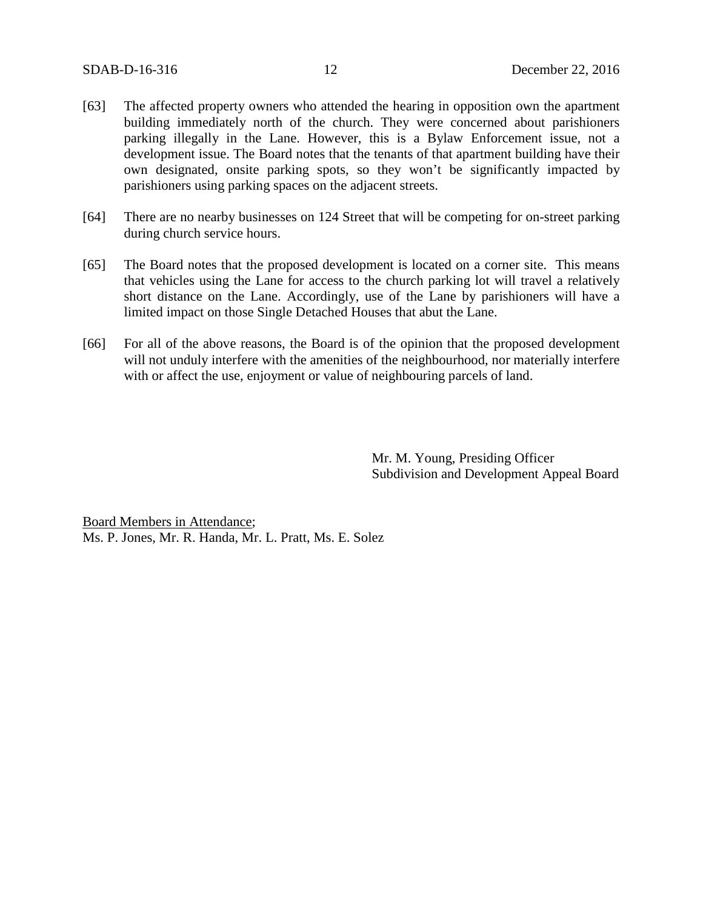- [63] The affected property owners who attended the hearing in opposition own the apartment building immediately north of the church. They were concerned about parishioners parking illegally in the Lane. However, this is a Bylaw Enforcement issue, not a development issue. The Board notes that the tenants of that apartment building have their own designated, onsite parking spots, so they won't be significantly impacted by parishioners using parking spaces on the adjacent streets.
- [64] There are no nearby businesses on 124 Street that will be competing for on-street parking during church service hours.
- [65] The Board notes that the proposed development is located on a corner site. This means that vehicles using the Lane for access to the church parking lot will travel a relatively short distance on the Lane. Accordingly, use of the Lane by parishioners will have a limited impact on those Single Detached Houses that abut the Lane.
- [66] For all of the above reasons, the Board is of the opinion that the proposed development will not unduly interfere with the amenities of the neighbourhood, nor materially interfere with or affect the use, enjoyment or value of neighbouring parcels of land.

Mr. M. Young, Presiding Officer Subdivision and Development Appeal Board

Board Members in Attendance; Ms. P. Jones, Mr. R. Handa, Mr. L. Pratt, Ms. E. Solez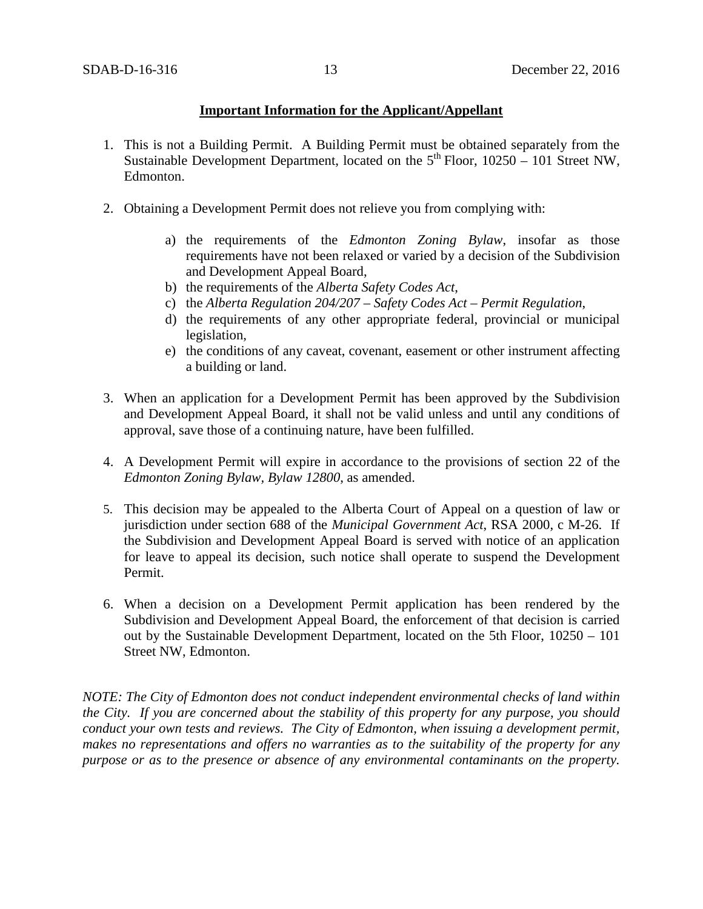# **Important Information for the Applicant/Appellant**

- 1. This is not a Building Permit. A Building Permit must be obtained separately from the Sustainable Development Department, located on the  $5<sup>th</sup>$  Floor, 10250 – 101 Street NW, Edmonton.
- 2. Obtaining a Development Permit does not relieve you from complying with:
	- a) the requirements of the *Edmonton Zoning Bylaw*, insofar as those requirements have not been relaxed or varied by a decision of the Subdivision and Development Appeal Board,
	- b) the requirements of the *Alberta Safety Codes Act*,
	- c) the *Alberta Regulation 204/207 – Safety Codes Act – Permit Regulation*,
	- d) the requirements of any other appropriate federal, provincial or municipal legislation,
	- e) the conditions of any caveat, covenant, easement or other instrument affecting a building or land.
- 3. When an application for a Development Permit has been approved by the Subdivision and Development Appeal Board, it shall not be valid unless and until any conditions of approval, save those of a continuing nature, have been fulfilled.
- 4. A Development Permit will expire in accordance to the provisions of section 22 of the *Edmonton Zoning Bylaw, Bylaw 12800*, as amended.
- 5. This decision may be appealed to the Alberta Court of Appeal on a question of law or jurisdiction under section 688 of the *Municipal Government Act*, RSA 2000, c M-26. If the Subdivision and Development Appeal Board is served with notice of an application for leave to appeal its decision, such notice shall operate to suspend the Development Permit.
- 6. When a decision on a Development Permit application has been rendered by the Subdivision and Development Appeal Board, the enforcement of that decision is carried out by the Sustainable Development Department, located on the 5th Floor, 10250 – 101 Street NW, Edmonton.

*NOTE: The City of Edmonton does not conduct independent environmental checks of land within the City. If you are concerned about the stability of this property for any purpose, you should conduct your own tests and reviews. The City of Edmonton, when issuing a development permit, makes no representations and offers no warranties as to the suitability of the property for any purpose or as to the presence or absence of any environmental contaminants on the property.*